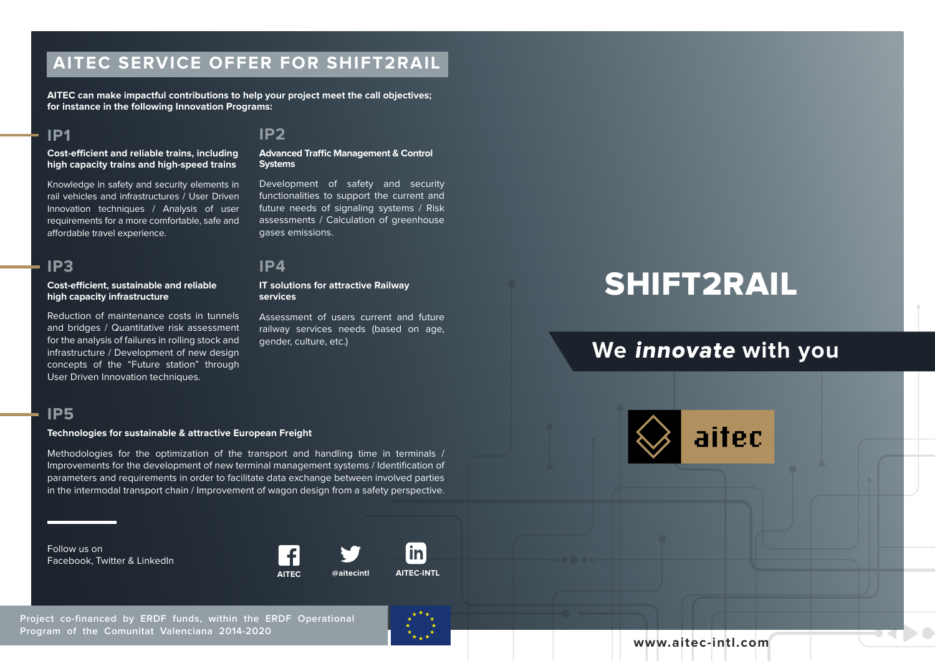# **AITEC SERVICE OFFER FOR SHIFT2RAIL**

**AITEC can make impactful contributions to help your project meet the call objectives; for instance in the following Innovation Programs:** 

## **IP1**

#### **Cost-efficient and reliable trains, including high capacity trains and high-speed trains**

Knowledge in safety and security elements in rail vehicles and infrastructures / User Driven Innovation techniques / Analysis of user requirements for a more comfortable, safe and affordable travel experience.

# **IP3 IP4**

### **Cost-efficient, sustainable and reliable high capacity infrastructure**

Reduction of maintenance costs in tunnels and bridges / Quantitative risk assessment for the analysis of failures in rolling stock and infrastructure / Development of new design concepts of the "Future station" through User Driven Innovation techniques.

### **IP2**

**Advanced Traffic Management & Control Systems**

Development of safety and security functionalities to support the current and future needs of signaling systems / Risk assessments / Calculation of greenhouse gases emissions.

#### **IT solutions for attractive Railway services**

Assessment of users current and future railway services needs (based on age, gender, culture, etc.)

# SHIFT2RAIL

# **We** innovate **with you**





### **Technologies for sustainable & attractive European Freight**

Methodologies for the optimization of the transport and handling time in terminals / Improvements for the development of new terminal management systems / Identification of parameters and requirements in order to facilitate data exchange between involved parties in the intermodal transport chain / Improvement of wagon design from a safety perspective.

Follow us on Facebook, Twitter & LinkedIn



in

**Project co-financed by ERDF funds, within the ERDF Operational Program of the Comunitat Valenciana 2014-2020**



**www.aitec-intl.com**